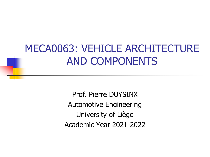#### MECA0063: VEHICLE ARCHITECTURE AND COMPONENTS

Prof. Pierre DUYSINX Automotive Engineering University of Liège Academic Year 2021-2022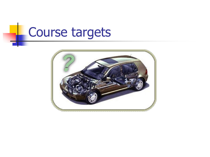#### Course targetsL,

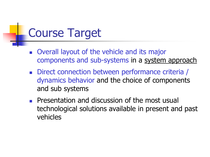# Course Target

- Overall layout of the vehicle and its major components and sub-systems in a system approach
- Direct connection between performance criteria / dynamics behavior and the choice of components and sub systems
- Presentation and discussion of the most usual technological solutions available in present and past vehicles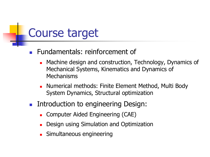# Course target

- <sup>◼</sup> Fundamentals: reinforcement of
	- Machine design and construction, Technology, Dynamics of Mechanical Systems, Kinematics and Dynamics of Mechanisms
	- Numerical methods: Finite Element Method, Multi Body System Dynamics, Structural optimization
- Introduction to engineering Design:
	- Computer Aided Engineering (CAE)
	- Design using Simulation and Optimization
	- Simultaneous engineering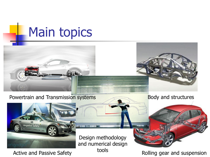

Powertrain and Transmission systems Body and structures





Active and Passive Safety tools

Design methodology and numerical design

Rolling gear and suspension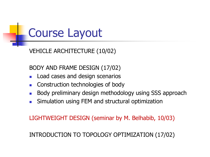

VEHICLE ARCHITECTURE (10/02)

BODY AND FRAME DESIGN (17/02)

- Load cases and design scenarios
- Construction technologies of body
- Body preliminary design methodology using SSS approach
- Simulation using FEM and structural optimization

LIGHTWEIGHT DESIGN (seminar by M. Belhabib, 10/03)

INTRODUCTION TO TOPOLOGY OPTIMIZATION (17/02)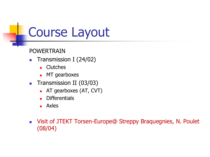POWERTRAIN

- Transmission I (24/02)
	- Clutches
	- MT gearboxes
- Transmission II (03/03)
	- AT gearboxes (AT, CVT)
	- Differentials
	- Axles
- Visit of JTEKT Torsen-Europe@ Streppy Braquegnies, N. Poulet (08/04)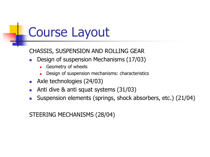CHASSIS, SUSPENSION AND ROLLING GEAR

- Design of suspension Mechanisms (17/03)
	- Geometry of wheels
	- Design of suspension mechanisms: characteristics
- Axle technologies (24/03)
- Anti dive  $\&$  anti squat systems  $(31/03)$
- Suspension elements (springs, shock absorbers, etc.) (21/04)

#### STEERING MECHANISMS (28/04)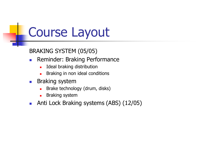BRAKING SYSTEM (05/05)

- Reminder: Braking Performance
	- Ideal braking distribution
	- Braking in non ideal conditions
- Braking system
	- Brake technology (drum, disks)
	- Braking system
- Anti Lock Braking systems (ABS) (12/05)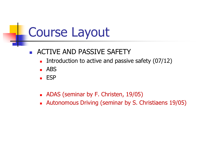- ACTIVE AND PASSIVE SAFETY
	- Introduction to active and passive safety (07/12)
	- $\blacksquare$  ABS
	- ESP
	- ADAS (seminar by F. Christen, 19/05)
	- Autonomous Driving (seminar by S. Christiaens 19/05)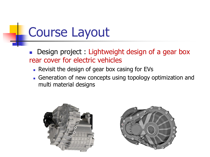Design project : Lightweight design of a gear box rear cover for electric vehicles

- Revisit the design of gear box casing for EVs
- Generation of new concepts using topology optimization and multi material designs



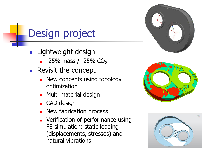



### Design project

- Lightweight design
	- $\blacksquare$  -25% mass / -25% CO<sub>2</sub>
- Revisit the concept
	- New concepts using topology optimization
	- Multi material design
	- CAD design
	- New fabrication process
	- Verification of performance using FE simulation: static loading (displacements, stresses) and natural vibrations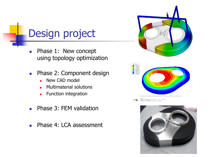#### Design project

- Phase 1: New concept using topology optimization
- Phase 2: Component design
	- New CAD model
	- Multimaterial solutions
	- **■** Function integration
- Phase 3: FEM validation
- Phase 4: LCA assessment





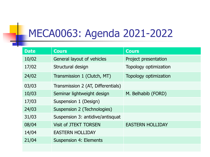## MECA0063: Agenda 2021-2022

| <b>Date</b> | <b>Cours</b>                       | <b>Cours</b>            |
|-------------|------------------------------------|-------------------------|
| 10/02       | General layout of vehicles         | Project presentation    |
| 17/02       | Structural design                  | Topology optimization   |
| 24/02       | Transmission 1 (Clutch, MT)        | Topology optimization   |
| 03/03       | Transmission 2 (AT, Differentials) |                         |
| 10/03       | Seminar lightweight design         | M. Belhabib (FORD)      |
| 17/03       | Suspension 1 (Design)              |                         |
| 24/03       | Suspension 2 (Technologies)        |                         |
| 31/03       | Suspension 3: antidive/antisquat   |                         |
| 08/04       | <b>Visit of JTEKT TORSEN</b>       | <b>EASTERN HOLLIDAY</b> |
| 14/04       | <b>EASTERN HOLLIDAY</b>            |                         |
| 21/04       | <b>Suspension 4: Elements</b>      |                         |
|             |                                    |                         |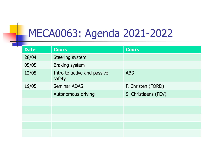# MECA0063: Agenda 2021-2022

a ka

| <b>Date</b> | <b>Cours</b>                          | <b>Cours</b>         |
|-------------|---------------------------------------|----------------------|
| 28/04       | Steering system                       |                      |
| 05/05       | <b>Braking system</b>                 |                      |
| 12/05       | Intro to active and passive<br>safety | <b>ABS</b>           |
| 19/05       | <b>Seminar ADAS</b>                   | F. Christen (FORD)   |
|             | Autonomous driving                    | S. Christiaens (FEV) |
|             |                                       |                      |
|             |                                       |                      |
|             |                                       |                      |
|             |                                       |                      |
|             |                                       |                      |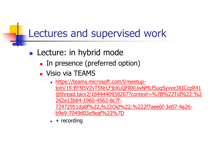#### Lectures and supervised work

- Lecture: in hybrid mode
	- In presence (preferred option)
	- Visio via TEAMS
		- https://teams.microsoft.com/l/meetupjoin/19:BYN5V2vT5NrLFjbXuQFRXUwNMLf5uqSyvve3XICcpR41 [@thread.tacv2/1644440938267?context=%7B%22Tid%22:%2](https://teams.microsoft.com/l/meetup-join/19:BYN5V2vT5NrLFjbXuQFRXUwNMLf5uqSyvve3XICcpR41@thread.tacv2/1644440938267?context=%7B%22Tid%22:%2262e13b84-1960-4562-8c7f-72472951da8f%22,%22Oid%22:%222f7aee6f-3e07-4a26-b9e9-7049d03e9eaf%22%7D) 262e13b84-1960-4562-8c7f-72472951da8f%22,%22Oid%22:%222f7aee6f-3e07-4a26 b9e9-7049d03e9eaf%22%7D
		- $\blacksquare$  + recording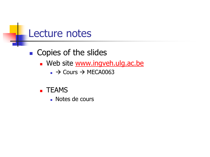

■ Copies of the slides

- **Web site [www.ingveh.ulg.ac.be](http://www.ingveh.ulg.ac.be/)** 
	- $\rightarrow$  Cours  $\rightarrow$  MECA0063
- TEAMS
	- Notes de cours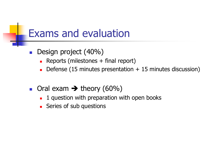#### Exams and evaluation

- Design project (40%)
	- $\blacksquare$  Reports (milestones  $+$  final report)
	- $\blacksquare$  Defense (15 minutes presentation  $+$  15 minutes discussion)
- Oral exam  $\rightarrow$  theory (60%)
	- 1 question with preparation with open books
	- Series of sub questions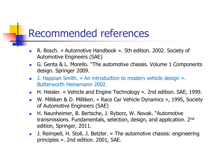#### Recommended references

- R. Bosch. « Automotive Handbook ». 5th edition. 2002. Society of Automotive Engineers (SAE)
- G. Genta & L. Morello. "The automotive chassis. Volume 1 Components design. Springer 2009.
- J. Happian Smith. « An introduction to modern vehicle design ». Butterworth Heinemann 2002.
- H. Heisler. « Vehicle and Engine Technology ». 2nd edition. SAE, 1999.
- W. Milliken & D. Milliken. « Race Car Vehicle Dynamics », 1995, Society of Automotive Engineers (SAE)
- H. Naunheimer, B. Bertsche, J. Ryborz, W. Novak. "Automotive transmissions. Fundamentals, selection, design, and application. 2nd edition, Springer, 2011.
- J. Reimpell, H. Stoll, J. Betzler. « The automotive chassis: engineering principles ». 2nd edition. 2001, SAE.